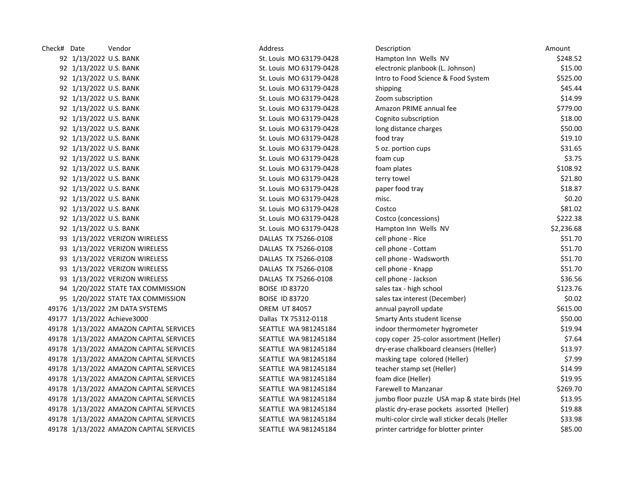| Check# Date |                        | Vendor                                  | Address                     | Description                                    | Amount     |
|-------------|------------------------|-----------------------------------------|-----------------------------|------------------------------------------------|------------|
|             | 92 1/13/2022 U.S. BANK |                                         | St. Louis MO 63179-0428     | Hampton Inn Wells NV                           | \$248.52   |
|             | 92 1/13/2022 U.S. BANK |                                         | St. Louis MO 63179-0428     | electronic planbook (L. Johnson)               | \$15.00    |
|             | 92 1/13/2022 U.S. BANK |                                         | St. Louis MO 63179-0428     | Intro to Food Science & Food System            | \$525.00   |
|             | 92 1/13/2022 U.S. BANK |                                         | St. Louis MO 63179-0428     | shipping                                       | \$45.44    |
|             | 92 1/13/2022 U.S. BANK |                                         | St. Louis MO 63179-0428     | Zoom subscription                              | \$14.99    |
|             | 92 1/13/2022 U.S. BANK |                                         | St. Louis MO 63179-0428     | Amazon PRIME annual fee                        | \$779.00   |
|             | 92 1/13/2022 U.S. BANK |                                         | St. Louis MO 63179-0428     | Cognito subscription                           | \$18.00    |
|             | 92 1/13/2022 U.S. BANK |                                         | St. Louis MO 63179-0428     | long distance charges                          | \$50.00    |
|             | 92 1/13/2022 U.S. BANK |                                         | St. Louis MO 63179-0428     | food tray                                      | \$19.10    |
|             | 92 1/13/2022 U.S. BANK |                                         | St. Louis MO 63179-0428     | 5 oz. portion cups                             | \$31.65    |
|             | 92 1/13/2022 U.S. BANK |                                         | St. Louis MO 63179-0428     | foam cup                                       | \$3.75     |
|             | 92 1/13/2022 U.S. BANK |                                         | St. Louis MO 63179-0428     | foam plates                                    | \$108.92   |
|             | 92 1/13/2022 U.S. BANK |                                         | St. Louis MO 63179-0428     | terry towel                                    | \$21.80    |
|             | 92 1/13/2022 U.S. BANK |                                         | St. Louis MO 63179-0428     | paper food tray                                | \$18.87    |
|             | 92 1/13/2022 U.S. BANK |                                         | St. Louis MO 63179-0428     | misc.                                          | \$0.20     |
|             | 92 1/13/2022 U.S. BANK |                                         | St. Louis MO 63179-0428     | Costco                                         | \$81.02    |
|             | 92 1/13/2022 U.S. BANK |                                         | St. Louis MO 63179-0428     | Costco (concessions)                           | \$222.38   |
|             | 92 1/13/2022 U.S. BANK |                                         | St. Louis MO 63179-0428     | Hampton Inn Wells NV                           | \$2,236.68 |
|             |                        | 93 1/13/2022 VERIZON WIRELESS           | DALLAS TX 75266-0108        | cell phone - Rice                              | \$51.70    |
|             |                        | 93 1/13/2022 VERIZON WIRELESS           | DALLAS TX 75266-0108        | cell phone - Cottam                            | \$51.70    |
|             |                        | 93 1/13/2022 VERIZON WIRELESS           | DALLAS TX 75266-0108        | cell phone - Wadsworth                         | \$51.70    |
|             |                        | 93 1/13/2022 VERIZON WIRELESS           | DALLAS TX 75266-0108        | cell phone - Knapp                             | \$51.70    |
|             |                        | 93 1/13/2022 VERIZON WIRELESS           | DALLAS TX 75266-0108        | cell phone - Jackson                           | \$36.56    |
|             |                        | 94 1/20/2022 STATE TAX COMMISSION       | <b>BOISE ID 83720</b>       | sales tax - high school                        | \$123.76   |
|             |                        | 95 1/20/2022 STATE TAX COMMISSION       | <b>BOISE ID 83720</b>       | sales tax interest (December)                  | \$0.02     |
|             |                        | 49176 1/13/2022 2M DATA SYSTEMS         | <b>OREM UT 84057</b>        | annual payroll update                          | \$615.00   |
|             |                        | 49177 1/13/2022 Achieve3000             | Dallas TX 75312-0118        | <b>Smarty Ants student license</b>             | \$50.00    |
|             |                        | 49178 1/13/2022 AMAZON CAPITAL SERVICES | SEATTLE WA 981245184        | indoor thermometer hygrometer                  | \$19.94    |
|             |                        | 49178 1/13/2022 AMAZON CAPITAL SERVICES | SEATTLE WA 981245184        | copy coper 25-color assortment (Heller)        | \$7.64     |
|             |                        | 49178 1/13/2022 AMAZON CAPITAL SERVICES | SEATTLE WA 981245184        | dry-erase chalkboard cleansers (Heller)        | \$13.97    |
|             |                        | 49178 1/13/2022 AMAZON CAPITAL SERVICES | SEATTLE WA 981245184        | masking tape colored (Heller)                  | \$7.99     |
|             |                        | 49178 1/13/2022 AMAZON CAPITAL SERVICES | SEATTLE WA 981245184        | teacher stamp set (Heller)                     | \$14.99    |
|             |                        | 49178 1/13/2022 AMAZON CAPITAL SERVICES | SEATTLE WA 981245184        | foam dice (Heller)                             | \$19.95    |
|             |                        | 49178 1/13/2022 AMAZON CAPITAL SERVICES | SEATTLE WA 981245184        | Farewell to Manzanar                           | \$269.70   |
|             |                        | 49178 1/13/2022 AMAZON CAPITAL SERVICES | SEATTLE WA 981245184        | jumbo floor puzzle USA map & state birds (Hel  | \$13.95    |
|             |                        | 49178 1/13/2022 AMAZON CAPITAL SERVICES | SEATTLE WA 981245184        | plastic dry-erase pockets assorted (Heller)    | \$19.88    |
|             |                        | 49178 1/13/2022 AMAZON CAPITAL SERVICES | SEATTLE WA 981245184        | multi-color circle wall sticker decals (Heller | \$33.98    |
|             |                        | 49178 1/13/2022 AMAZON CAPITAL SERVICES | <b>SEATTLE WA 981245184</b> | printer cartridge for blotter printer          | \$85.00    |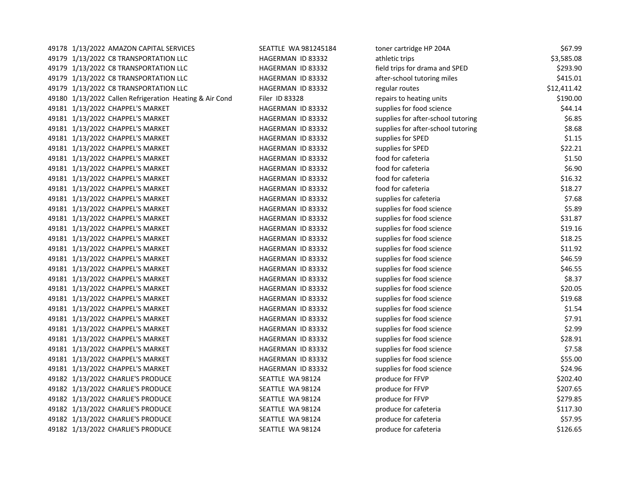| 49178 1/13/2022 AMAZON CAPITAL SERVICES                 | SEATTLE WA 981245184 | toner cartridge HP 204A            | \$67.99     |
|---------------------------------------------------------|----------------------|------------------------------------|-------------|
| 49179 1/13/2022 C8 TRANSPORTATION LLC                   | HAGERMAN ID 83332    | athletic trips                     | \$3,585.08  |
| 49179 1/13/2022 C8 TRANSPORTATION LLC                   | HAGERMAN ID 83332    | field trips for drama and SPED     | \$293.90    |
| 49179 1/13/2022 C8 TRANSPORTATION LLC                   | HAGERMAN ID 83332    | after-school tutoring miles        | \$415.01    |
| 49179 1/13/2022 C8 TRANSPORTATION LLC                   | HAGERMAN ID 83332    | regular routes                     | \$12,411.42 |
| 49180 1/13/2022 Callen Refrigeration Heating & Air Cond | Filer ID 83328       | repairs to heating units           | \$190.00    |
| 49181 1/13/2022 CHAPPEL'S MARKET                        | HAGERMAN ID 83332    | supplies for food science          | \$44.14     |
| 49181 1/13/2022 CHAPPEL'S MARKET                        | HAGERMAN ID 83332    | supplies for after-school tutoring | \$6.85      |
| 49181 1/13/2022 CHAPPEL'S MARKET                        | HAGERMAN ID 83332    | supplies for after-school tutoring | \$8.68      |
| 49181 1/13/2022 CHAPPEL'S MARKET                        | HAGERMAN ID 83332    | supplies for SPED                  | \$1.15      |
| 49181 1/13/2022 CHAPPEL'S MARKET                        | HAGERMAN ID 83332    | supplies for SPED                  | \$22.21     |
| 49181 1/13/2022 CHAPPEL'S MARKET                        | HAGERMAN ID 83332    | food for cafeteria                 | \$1.50      |
| 49181 1/13/2022 CHAPPEL'S MARKET                        | HAGERMAN ID 83332    | food for cafeteria                 | \$6.90      |
| 49181 1/13/2022 CHAPPEL'S MARKET                        | HAGERMAN ID 83332    | food for cafeteria                 | \$16.32     |
| 49181 1/13/2022 CHAPPEL'S MARKET                        | HAGERMAN ID 83332    | food for cafeteria                 | \$18.27     |
| 49181 1/13/2022 CHAPPEL'S MARKET                        | HAGERMAN ID 83332    | supplies for cafeteria             | \$7.68      |
| 49181 1/13/2022 CHAPPEL'S MARKET                        | HAGERMAN ID 83332    | supplies for food science          | \$5.89      |
| 49181 1/13/2022 CHAPPEL'S MARKET                        | HAGERMAN ID 83332    | supplies for food science          | \$31.87     |
| 49181 1/13/2022 CHAPPEL'S MARKET                        | HAGERMAN ID 83332    | supplies for food science          | \$19.16     |
| 49181 1/13/2022 CHAPPEL'S MARKET                        | HAGERMAN ID 83332    | supplies for food science          | \$18.25     |
| 49181 1/13/2022 CHAPPEL'S MARKET                        | HAGERMAN ID 83332    | supplies for food science          | \$11.92     |
| 49181 1/13/2022 CHAPPEL'S MARKET                        | HAGERMAN ID 83332    | supplies for food science          | \$46.59     |
| 49181 1/13/2022 CHAPPEL'S MARKET                        | HAGERMAN ID 83332    | supplies for food science          | \$46.55     |
| 49181 1/13/2022 CHAPPEL'S MARKET                        | HAGERMAN ID 83332    | supplies for food science          | \$8.37      |
| 49181 1/13/2022 CHAPPEL'S MARKET                        | HAGERMAN ID 83332    | supplies for food science          | \$20.05     |
| 49181 1/13/2022 CHAPPEL'S MARKET                        | HAGERMAN ID 83332    | supplies for food science          | \$19.68     |
| 49181 1/13/2022 CHAPPEL'S MARKET                        | HAGERMAN ID 83332    | supplies for food science          | \$1.54      |
| 49181 1/13/2022 CHAPPEL'S MARKET                        | HAGERMAN ID 83332    | supplies for food science          | \$7.91      |
| 49181 1/13/2022 CHAPPEL'S MARKET                        | HAGERMAN ID 83332    | supplies for food science          | \$2.99      |
| 49181 1/13/2022 CHAPPEL'S MARKET                        | HAGERMAN ID 83332    | supplies for food science          | \$28.91     |
| 49181 1/13/2022 CHAPPEL'S MARKET                        | HAGERMAN ID 83332    | supplies for food science          | \$7.58      |
| 49181 1/13/2022 CHAPPEL'S MARKET                        | HAGERMAN ID 83332    | supplies for food science          | \$55.00     |
| 49181 1/13/2022 CHAPPEL'S MARKET                        | HAGERMAN ID 83332    | supplies for food science          | \$24.96     |
| 49182 1/13/2022 CHARLIE'S PRODUCE                       | SEATTLE WA 98124     | produce for FFVP                   | \$202.40    |
| 49182 1/13/2022 CHARLIE'S PRODUCE                       | SEATTLE WA 98124     | produce for FFVP                   | \$207.65    |
| 49182 1/13/2022 CHARLIE'S PRODUCE                       | SEATTLE WA 98124     | produce for FFVP                   | \$279.85    |
| 49182 1/13/2022 CHARLIE'S PRODUCE                       | SEATTLE WA 98124     | produce for cafeteria              | \$117.30    |
| 49182 1/13/2022 CHARLIE'S PRODUCE                       | SEATTLE WA 98124     | produce for cafeteria              | \$57.95     |
| 49182 1/13/2022 CHARLIE'S PRODUCE                       | SEATTLE WA 98124     | produce for cafeteria              | \$126.65    |
|                                                         |                      |                                    |             |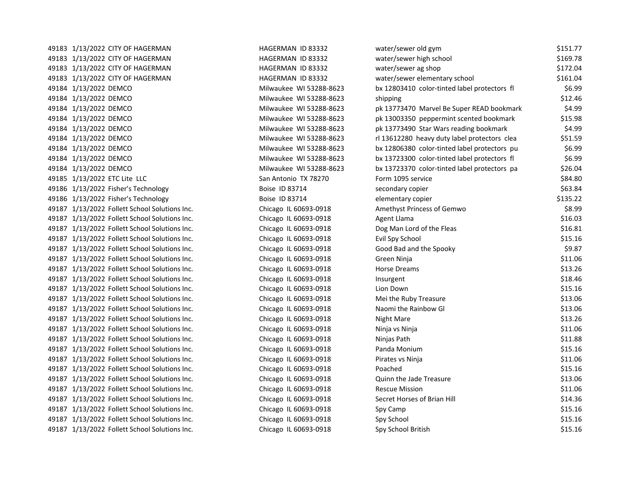|  | 49183 1/13/2022 CITY OF HAGERMAN              | HAGERMAN ID 83332       | water/sewer old gym                          | \$151.77 |
|--|-----------------------------------------------|-------------------------|----------------------------------------------|----------|
|  | 49183 1/13/2022 CITY OF HAGERMAN              | HAGERMAN ID 83332       | water/sewer high school                      | \$169.78 |
|  | 49183 1/13/2022 CITY OF HAGERMAN              | HAGERMAN ID 83332       | water/sewer ag shop                          | \$172.04 |
|  | 49183 1/13/2022 CITY OF HAGERMAN              | HAGERMAN ID 83332       | water/sewer elementary school                | \$161.04 |
|  | 49184 1/13/2022 DEMCO                         | Milwaukee WI 53288-8623 | bx 12803410 color-tinted label protectors fl | \$6.99   |
|  | 49184 1/13/2022 DEMCO                         | Milwaukee WI 53288-8623 | shipping                                     | \$12.46  |
|  | 49184 1/13/2022 DEMCO                         | Milwaukee WI 53288-8623 | pk 13773470 Marvel Be Super READ bookmark    | \$4.99   |
|  | 49184 1/13/2022 DEMCO                         | Milwaukee WI 53288-8623 | pk 13003350 peppermint scented bookmark      | \$15.98  |
|  | 49184 1/13/2022 DEMCO                         | Milwaukee WI 53288-8623 | pk 13773490 Star Wars reading bookmark       | \$4.99   |
|  | 49184 1/13/2022 DEMCO                         | Milwaukee WI 53288-8623 | rl 13612280 heavy duty label protectors clea | \$51.59  |
|  | 49184 1/13/2022 DEMCO                         | Milwaukee WI 53288-8623 | bx 12806380 color-tinted label protectors pu | \$6.99   |
|  | 49184 1/13/2022 DEMCO                         | Milwaukee WI 53288-8623 | bx 13723300 color-tinted label protectors fl | \$6.99   |
|  | 49184 1/13/2022 DEMCO                         | Milwaukee WI 53288-8623 | bx 13723370 color-tinted label protectors pa | \$26.04  |
|  | 49185 1/13/2022 ETC Lite LLC                  | San Antonio TX 78270    | Form 1095 service                            | \$84.80  |
|  | 49186 1/13/2022 Fisher's Technology           | Boise ID 83714          | secondary copier                             | \$63.84  |
|  | 49186 1/13/2022 Fisher's Technology           | Boise ID 83714          | elementary copier                            | \$135.22 |
|  | 49187 1/13/2022 Follett School Solutions Inc. | Chicago IL 60693-0918   | Amethyst Princess of Gemwo                   | \$8.99   |
|  | 49187 1/13/2022 Follett School Solutions Inc. | Chicago IL 60693-0918   | Agent Llama                                  | \$16.03  |
|  | 49187 1/13/2022 Follett School Solutions Inc. | Chicago IL 60693-0918   | Dog Man Lord of the Fleas                    | \$16.81  |
|  | 49187 1/13/2022 Follett School Solutions Inc. | Chicago IL 60693-0918   | Evil Spy School                              | \$15.16  |
|  | 49187 1/13/2022 Follett School Solutions Inc. | Chicago IL 60693-0918   | Good Bad and the Spooky                      | \$9.87   |
|  | 49187 1/13/2022 Follett School Solutions Inc. | Chicago IL 60693-0918   | Green Ninja                                  | \$11.06  |
|  | 49187 1/13/2022 Follett School Solutions Inc. | Chicago IL 60693-0918   | <b>Horse Dreams</b>                          | \$13.26  |
|  | 49187 1/13/2022 Follett School Solutions Inc. | Chicago IL 60693-0918   | Insurgent                                    | \$18.46  |
|  | 49187 1/13/2022 Follett School Solutions Inc. | Chicago IL 60693-0918   | Lion Down                                    | \$15.16  |
|  | 49187 1/13/2022 Follett School Solutions Inc. | Chicago IL 60693-0918   | Mei the Ruby Treasure                        | \$13.06  |
|  | 49187 1/13/2022 Follett School Solutions Inc. | Chicago IL 60693-0918   | Naomi the Rainbow Gl                         | \$13.06  |
|  | 49187 1/13/2022 Follett School Solutions Inc. | Chicago IL 60693-0918   | Night Mare                                   | \$13.26  |
|  | 49187 1/13/2022 Follett School Solutions Inc. | Chicago IL 60693-0918   | Ninja vs Ninja                               | \$11.06  |
|  | 49187 1/13/2022 Follett School Solutions Inc. | Chicago IL 60693-0918   | Ninjas Path                                  | \$11.88  |
|  | 49187 1/13/2022 Follett School Solutions Inc. | Chicago IL 60693-0918   | Panda Monium                                 | \$15.16  |
|  | 49187 1/13/2022 Follett School Solutions Inc. | Chicago IL 60693-0918   | Pirates vs Ninja                             | \$11.06  |
|  | 49187 1/13/2022 Follett School Solutions Inc. | Chicago IL 60693-0918   | Poached                                      | \$15.16  |
|  | 49187 1/13/2022 Follett School Solutions Inc. | Chicago IL 60693-0918   | Quinn the Jade Treasure                      | \$13.06  |
|  | 49187 1/13/2022 Follett School Solutions Inc. | Chicago IL 60693-0918   | <b>Rescue Mission</b>                        | \$11.06  |
|  | 49187 1/13/2022 Follett School Solutions Inc. | Chicago IL 60693-0918   | Secret Horses of Brian Hill                  | \$14.36  |
|  | 49187 1/13/2022 Follett School Solutions Inc. | Chicago IL 60693-0918   | Spy Camp                                     | \$15.16  |
|  | 49187 1/13/2022 Follett School Solutions Inc. | Chicago IL 60693-0918   | Spy School                                   | \$15.16  |
|  | 49187 1/13/2022 Follett School Solutions Inc. | Chicago IL 60693-0918   | Spy School British                           | \$15.16  |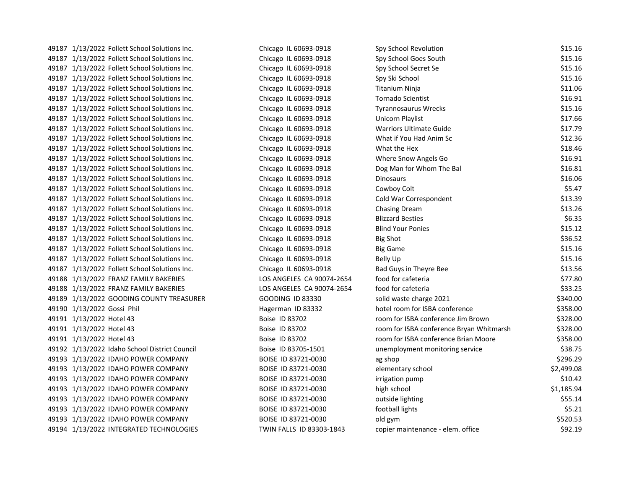| 49187 1/13/2022 Follett School Solutions Inc. | Chicago IL 60693-0918     | Spy School Revolution                    | \$15.16    |
|-----------------------------------------------|---------------------------|------------------------------------------|------------|
| 49187 1/13/2022 Follett School Solutions Inc. | Chicago IL 60693-0918     | Spy School Goes South                    | \$15.16    |
| 49187 1/13/2022 Follett School Solutions Inc. | Chicago IL 60693-0918     | Spy School Secret Se                     | \$15.16    |
| 49187 1/13/2022 Follett School Solutions Inc. | Chicago IL 60693-0918     | Spy Ski School                           | \$15.16    |
| 49187 1/13/2022 Follett School Solutions Inc. | Chicago IL 60693-0918     | <b>Titanium Ninja</b>                    | \$11.06    |
| 49187 1/13/2022 Follett School Solutions Inc. | Chicago IL 60693-0918     | <b>Tornado Scientist</b>                 | \$16.91    |
| 49187 1/13/2022 Follett School Solutions Inc. | Chicago IL 60693-0918     | <b>Tyrannosaurus Wrecks</b>              | \$15.16    |
| 49187 1/13/2022 Follett School Solutions Inc. | Chicago IL 60693-0918     | Unicorn Playlist                         | \$17.66    |
| 49187 1/13/2022 Follett School Solutions Inc. | Chicago IL 60693-0918     | <b>Warriors Ultimate Guide</b>           | \$17.79    |
| 49187 1/13/2022 Follett School Solutions Inc. | Chicago IL 60693-0918     | What if You Had Anim Sc                  | \$12.36    |
| 49187 1/13/2022 Follett School Solutions Inc. | Chicago IL 60693-0918     | What the Hex                             | \$18.46    |
| 49187 1/13/2022 Follett School Solutions Inc. | Chicago IL 60693-0918     | Where Snow Angels Go                     | \$16.91    |
| 49187 1/13/2022 Follett School Solutions Inc. | Chicago IL 60693-0918     | Dog Man for Whom The Bal                 | \$16.81    |
| 49187 1/13/2022 Follett School Solutions Inc. | Chicago IL 60693-0918     | <b>Dinosaurs</b>                         | \$16.06    |
| 49187 1/13/2022 Follett School Solutions Inc. | Chicago IL 60693-0918     | Cowboy Colt                              | \$5.47     |
| 49187 1/13/2022 Follett School Solutions Inc. | Chicago IL 60693-0918     | Cold War Correspondent                   | \$13.39    |
| 49187 1/13/2022 Follett School Solutions Inc. | Chicago IL 60693-0918     | Chasing Dream                            | \$13.26    |
| 49187 1/13/2022 Follett School Solutions Inc. | Chicago IL 60693-0918     | <b>Blizzard Besties</b>                  | \$6.35     |
| 49187 1/13/2022 Follett School Solutions Inc. | Chicago IL 60693-0918     | <b>Blind Your Ponies</b>                 | \$15.12    |
| 49187 1/13/2022 Follett School Solutions Inc. | Chicago IL 60693-0918     | <b>Big Shot</b>                          | \$36.52    |
| 49187 1/13/2022 Follett School Solutions Inc. | Chicago IL 60693-0918     | <b>Big Game</b>                          | \$15.16    |
| 49187 1/13/2022 Follett School Solutions Inc. | Chicago IL 60693-0918     | <b>Belly Up</b>                          | \$15.16    |
| 49187 1/13/2022 Follett School Solutions Inc. | Chicago IL 60693-0918     | Bad Guys in Theyre Bee                   | \$13.56    |
| 49188 1/13/2022 FRANZ FAMILY BAKERIES         | LOS ANGELES CA 90074-2654 | food for cafeteria                       | \$77.80    |
| 49188 1/13/2022 FRANZ FAMILY BAKERIES         | LOS ANGELES CA 90074-2654 | food for cafeteria                       | \$33.25    |
| 49189 1/13/2022 GOODING COUNTY TREASURER      | <b>GOODING ID 83330</b>   | solid waste charge 2021                  | \$340.00   |
| 49190 1/13/2022 Gossi Phil                    | Hagerman ID 83332         | hotel room for ISBA conference           | \$358.00   |
| 49191 1/13/2022 Hotel 43                      | Boise ID 83702            | room for ISBA conference Jim Brown       | \$328.00   |
| 49191 1/13/2022 Hotel 43                      | Boise ID 83702            | room for ISBA conference Bryan Whitmarsh | \$328.00   |
| 49191 1/13/2022 Hotel 43                      | Boise ID 83702            | room for ISBA conference Brian Moore     | \$358.00   |
| 49192 1/13/2022 Idaho School District Council | Boise ID 83705-1501       | unemployment monitoring service          | \$38.75    |
| 49193 1/13/2022 IDAHO POWER COMPANY           | BOISE ID 83721-0030       | ag shop                                  | \$296.29   |
| 49193 1/13/2022 IDAHO POWER COMPANY           | BOISE ID 83721-0030       | elementary school                        | \$2,499.08 |
| 49193 1/13/2022 IDAHO POWER COMPANY           | BOISE ID 83721-0030       | irrigation pump                          | \$10.42    |
| 49193 1/13/2022 IDAHO POWER COMPANY           | BOISE ID 83721-0030       | high school                              | \$1,185.94 |
| 49193 1/13/2022 IDAHO POWER COMPANY           | BOISE ID 83721-0030       | outside lighting                         | \$55.14    |
| 49193 1/13/2022 IDAHO POWER COMPANY           | BOISE ID 83721-0030       | football lights                          | \$5.21     |
| 49193 1/13/2022 IDAHO POWER COMPANY           | BOISE ID 83721-0030       | old gym                                  | \$520.53   |
| 49194 1/13/2022 INTEGRATED TECHNOLOGIES       | TWIN FALLS ID 83303-1843  | copier maintenance - elem. office        | \$92.19    |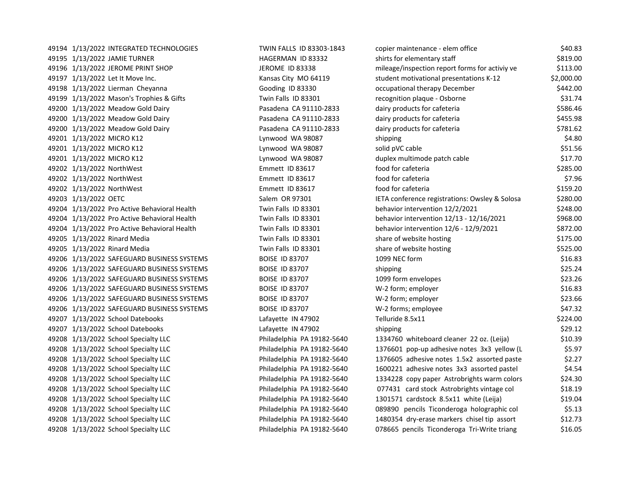| 49194 1/13/2022 INTEGRATED TECHNOLOGIES      | TWIN FALLS ID 83303-1843   | copier maintenance - elem office               | \$40.83    |
|----------------------------------------------|----------------------------|------------------------------------------------|------------|
| 49195 1/13/2022 JAMIE TURNER                 | HAGERMAN ID 83332          | shirts for elementary staff                    | \$819.00   |
| 49196 1/13/2022 JEROME PRINT SHOP            | <b>JEROME ID 83338</b>     | mileage/inspection report forms for activiy ve | \$113.00   |
| 49197 1/13/2022 Let It Move Inc.             | Kansas City MO 64119       | student motivational presentations K-12        | \$2,000.00 |
| 49198 1/13/2022 Lierman Cheyanna             | Gooding ID 83330           | occupational therapy December                  | \$442.00   |
| 49199 1/13/2022 Mason's Trophies & Gifts     | Twin Falls ID 83301        | recognition plaque - Osborne                   | \$31.74    |
| 49200 1/13/2022 Meadow Gold Dairy            | Pasadena CA 91110-2833     | dairy products for cafeteria                   | \$586.46   |
| 49200 1/13/2022 Meadow Gold Dairy            | Pasadena CA 91110-2833     | dairy products for cafeteria                   | \$455.98   |
| 49200 1/13/2022 Meadow Gold Dairy            | Pasadena CA 91110-2833     | dairy products for cafeteria                   | \$781.62   |
| 49201 1/13/2022 MICRO K12                    | Lynwood WA 98087           | shipping                                       | \$4.80     |
| 49201 1/13/2022 MICRO K12                    | Lynwood WA 98087           | solid pVC cable                                | \$51.56    |
| 49201 1/13/2022 MICRO K12                    | Lynwood WA 98087           | duplex multimode patch cable                   | \$17.70    |
| 49202 1/13/2022 NorthWest                    | Emmett ID 83617            | food for cafeteria                             | \$285.00   |
| 49202 1/13/2022 NorthWest                    | Emmett ID 83617            | food for cafeteria                             | \$7.96     |
| 49202 1/13/2022 NorthWest                    | Emmett ID 83617            | food for cafeteria                             | \$159.20   |
| 49203 1/13/2022 OETC                         | Salem OR 97301             | IETA conference registrations: Owsley & Solosa | \$280.00   |
| 49204 1/13/2022 Pro Active Behavioral Health | Twin Falls ID 83301        | behavior intervention 12/2/2021                | \$248.00   |
| 49204 1/13/2022 Pro Active Behavioral Health | Twin Falls ID 83301        | behavior intervention 12/13 - 12/16/2021       | \$968.00   |
| 49204 1/13/2022 Pro Active Behavioral Health | Twin Falls ID 83301        | behavior intervention 12/6 - 12/9/2021         | \$872.00   |
| 49205 1/13/2022 Rinard Media                 | Twin Falls ID 83301        | share of website hosting                       | \$175.00   |
| 49205 1/13/2022 Rinard Media                 | Twin Falls ID 83301        | share of website hosting                       | \$525.00   |
| 49206 1/13/2022 SAFEGUARD BUSINESS SYSTEMS   | <b>BOISE ID 83707</b>      | 1099 NEC form                                  | \$16.83    |
| 49206 1/13/2022 SAFEGUARD BUSINESS SYSTEMS   | <b>BOISE ID 83707</b>      | shipping                                       | \$25.24    |
| 49206 1/13/2022 SAFEGUARD BUSINESS SYSTEMS   | <b>BOISE ID 83707</b>      | 1099 form envelopes                            | \$23.26    |
| 49206 1/13/2022 SAFEGUARD BUSINESS SYSTEMS   | <b>BOISE ID 83707</b>      | W-2 form; employer                             | \$16.83    |
| 49206 1/13/2022 SAFEGUARD BUSINESS SYSTEMS   | <b>BOISE ID 83707</b>      | W-2 form; employer                             | \$23.66    |
| 49206 1/13/2022 SAFEGUARD BUSINESS SYSTEMS   | <b>BOISE ID 83707</b>      | W-2 forms; employee                            | \$47.32    |
| 49207 1/13/2022 School Datebooks             | Lafayette IN 47902         | Telluride 8.5x11                               | \$224.00   |
| 49207 1/13/2022 School Datebooks             | Lafayette IN 47902         | shipping                                       | \$29.12    |
| 49208 1/13/2022 School Specialty LLC         | Philadelphia PA 19182-5640 | 1334760 whiteboard cleaner 22 oz. (Leija)      | \$10.39    |
| 49208 1/13/2022 School Specialty LLC         | Philadelphia PA 19182-5640 | 1376601 pop-up adhesive notes 3x3 yellow (L    | \$5.97     |
| 49208 1/13/2022 School Specialty LLC         | Philadelphia PA 19182-5640 | 1376605 adhesive notes 1.5x2 assorted paste    | \$2.27     |
| 49208 1/13/2022 School Specialty LLC         | Philadelphia PA 19182-5640 | 1600221 adhesive notes 3x3 assorted pastel     | \$4.54     |
| 49208 1/13/2022 School Specialty LLC         | Philadelphia PA 19182-5640 | 1334228 copy paper Astrobrights warm colors    | \$24.30    |
| 49208 1/13/2022 School Specialty LLC         | Philadelphia PA 19182-5640 | 077431 card stock Astrobrights vintage col     | \$18.19    |
| 49208 1/13/2022 School Specialty LLC         | Philadelphia PA 19182-5640 | 1301571 cardstock 8.5x11 white (Leija)         | \$19.04    |
| 49208 1/13/2022 School Specialty LLC         | Philadelphia PA 19182-5640 | 089890 pencils Ticonderoga holographic col     | \$5.13     |
| 49208 1/13/2022 School Specialty LLC         | Philadelphia PA 19182-5640 | 1480354 dry-erase markers chisel tip assort    | \$12.73    |
| 49208 1/13/2022 School Specialty LLC         | Philadelphia PA 19182-5640 | 078665 pencils Ticonderoga Tri-Write triang    | \$16.05    |
|                                              |                            |                                                |            |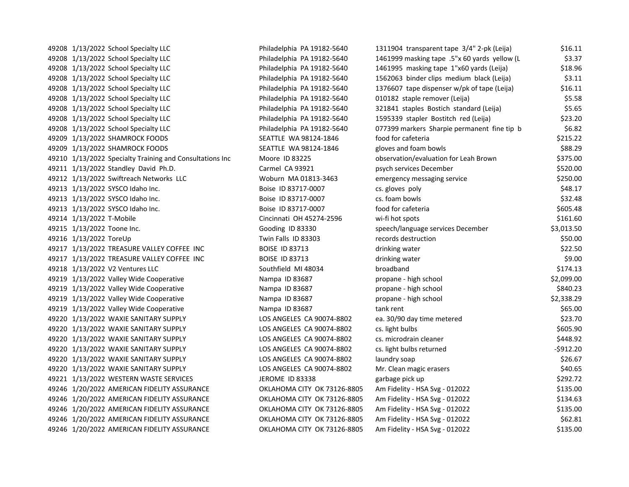49208 1/13/2022 School Specialty LLC Philadelphia PA 19182-5640 49208 1/13/2022 School Specialty LLC Philadelphia PA 19182-5640 49208 1/13/2022 School Specialty LLC Philadelphia PA 19182-5640 49208 1/13/2022 School Specialty LLC Philadelphia PA 19182-5640 49208 1/13/2022 School Specialty LLC Philadelphia PA 19182-5640 49208 1/13/2022 School Specialty LLC Philadelphia PA 19182-5640 49208 1/13/2022 School Specialty LLC Philadelphia PA 19182-5640 49208 1/13/2022 School Specialty LLC Philadelphia PA 19182-5640 49208 1/13/2022 School Specialty LLC Philadelphia PA 19182-5640 49209 1/13/2022 SHAMROCK FOODS SEATTLE WA 98124-1846 49209 1/13/2022 SHAMROCK FOODS SEATTLE WA 98124-1846 49210 1/13/2022 Specialty Training and Consultations Inc Moore ID 83225 49211 1/13/2022 Standley David Ph.D. Carmel CA 93921 49212 1/13/2022 Swiftreach Networks LLC Woburn MA 01813-3463 49213 1/13/2022 SYSCO Idaho Inc. 6.18.17 compared by Boise ID 83717-0007 49213 1/13/2022 SYSCO Idaho Inc. 63717-0007 cost. For the Boise ID 83717-0007 49213 1/13/2022 SYSCO Idaho Inc. 605.481 605.481 605.481 605.481 605.481 605.481 605.481 605.481 605.481 605.4 49214 1/13/2022 T-Mobile Cincinnati OH 45274-2596 49215 1/13/2022 Toone Inc. Gooding ID 83330 49216 1/13/2022 ToreUp Twin Falls ID 83303 49217 1/13/2022 TREASURE VALLEY COFFEE INC BOISE ID 83713 49217 1/13/2022 TREASURE VALLEY COFFEE INC BOISE ID 83713 49218 1/13/2022 V2 Ventures LLC Southfield MI 48034 49219 1/13/2022 Valley Wide Cooperative Nampa ID 83687 49219 1/13/2022 Valley Wide Cooperative Nampa ID 83687 49219 1/13/2022 Valley Wide Cooperative Nampa ID 83687 49219 1/13/2022 Valley Wide Cooperative Nampa ID 83687 49220 1/13/2022 WAXIE SANITARY SUPPLY LOS ANGELES CA 90074-8802 49220 1/13/2022 WAXIE SANITARY SUPPLY LOS ANGELES CA 90074-8802 49220 1/13/2022 WAXIE SANITARY SUPPLY LOS ANGELES CA 90074-8802 49220 1/13/2022 WAXIE SANITARY SUPPLY LOS ANGELES CA 90074-8802 cs. light bulbs returned -\$912.20 49220 1/13/2022 WAXIE SANITARY SUPPLY LOS ANGELES CA 90074-8802 49220 1/13/2022 WAXIE SANITARY SUPPLY LOS ANGELES CA 90074-8802 49221 1/13/2022 WESTERN WASTE SERVICES JEROME ID 83338 49246 1/20/2022 AMERICAN FIDELITY ASSURANCE **CHALL CONTAINAL CITY OK 73126-8805** 49246 1/20/2022 AMERICAN FIDELITY ASSURANCE **CHALL CONTAINAL CITY OK 73126-8805** 49246 1/20/2022 AMERICAN FIDELITY ASSURANCE OKLAHOMA CITY OK 73126-8805 49246 1/20/2022 AMERICAN FIDELITY ASSURANCE **CHALL CONTRANGE CITY OK 73126-8805** 49246 1/20/2022 AMERICAN FIDELITY ASSURANCE OKLAHOMA CITY OK 73126-8805

| 1311904 transparent tape 3/4" 2-pk (Leija)   | \$16.11    |
|----------------------------------------------|------------|
| 1461999 masking tape .5"x 60 yards yellow (L | \$3.37     |
| 1461995 masking tape 1"x60 yards (Leija)     | \$18.96    |
| 1562063 binder clips medium black (Leija)    | \$3.11     |
| 1376607 tape dispenser w/pk of tape (Leija)  | \$16.11    |
| 010182 staple remover (Leija)                | \$5.58     |
| 321841 staples Bostich standard (Leija)      | \$5.65     |
| 1595339 stapler Bostitch red (Leija)         | \$23.20    |
| 077399 markers Sharpie permanent fine tip b  | \$6.82     |
| food for cafeteria                           | \$215.22   |
| gloves and foam bowls                        | \$88.29    |
| observation/evaluation for Leah Brown        | \$375.00   |
| osych services December                      | \$520.00   |
| emergency messaging service                  | \$250.00   |
| cs. gloves poly                              | \$48.17    |
| cs. foam bowls                               | \$32.48    |
| food for cafeteria                           | \$605.48   |
| wi-fi hot spots                              | \$161.60   |
| speech/language services December            | \$3,013.50 |
| ecords destruction <sup>.</sup>              | \$50.00    |
| drinking water                               | \$22.50    |
| drinking water                               | \$9.00     |
| oroadband                                    | \$174.13   |
| propane - high school                        | \$2,099.00 |
| oropane - high school                        | \$840.23   |
| oropane - high school                        | \$2,338.29 |
| tank rent                                    | \$65.00    |
| ea. 30/90 day time metered                   | \$23.70    |
| cs. light bulbs                              | \$605.90   |
| cs. microdrain cleaner                       | \$448.92   |
| cs. light bulbs returned                     | $-$912.20$ |
| aundry soap                                  | \$26.67    |
| Mr. Clean magic erasers                      | \$40.65    |
| garbage pick up                              | \$292.72   |
| Am Fidelity - HSA Svg - 012022               | \$135.00   |
| Am Fidelity - HSA Svg - 012022               | \$134.63   |
| Am Fidelity - HSA Svg - 012022               | \$135.00   |
| Am Fidelity - HSA Svg - 012022               | \$62.81    |
| Am Fidelity - HSA Svg - 012022               | \$135.00   |
|                                              |            |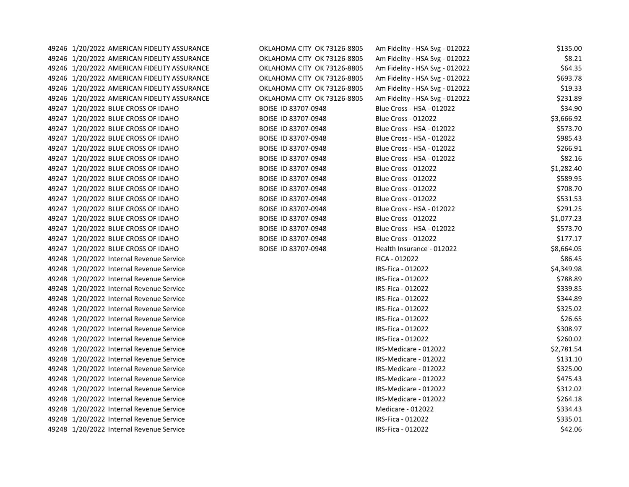49246 1/20/2022 AMERICAN FIDELITY ASSURANCE **CONCLATIONA CITY OKLAHOMA CITY OK** 49246 1/20/2022 AMERICAN FIDELITY ASSURANCE OKLAHOMA CITY OK 49246 1/20/2022 AMERICAN FIDELITY ASSURANCE OKLAHOMA CITY OK 49246 1/20/2022 AMERICAN FIDELITY ASSURANCE OKLAHOMA CITY OK 49246 1/20/2022 AMERICAN FIDELITY ASSURANCE **CHALL CONTAINS A CITY OK** 49246 1/20/2022 AMERICAN FIDELITY ASSURANCE OKLAHOMA CITY OK 49247 1/20/2022 BLUE CROSS OF IDAHO BOISE ID 83707-094 49247 1/20/2022 BLUE CROSS OF IDAHO BOISE ID 83707-094 49247 1/20/2022 BLUE CROSS OF IDAHO BOISE ID 83707-094 49247 1/20/2022 BLUE CROSS OF IDAHO BOISE ID 83707-094 49247 1/20/2022 BLUE CROSS OF IDAHO BOISE ID 83707-094 49247 1/20/2022 BLUE CROSS OF IDAHO BOISE ID 83707-094 49247 1/20/2022 BLUE CROSS OF IDAHO BOISE ID 83707-094 49247 1/20/2022 BLUE CROSS OF IDAHO BOISE ID 83707-094 49247 1/20/2022 BLUE CROSS OF IDAHO BOISE ID 83707-094 49247 1/20/2022 BLUE CROSS OF IDAHO BOISE ID 83707-094 49247 1/20/2022 BLUE CROSS OF IDAHO BOISE ID 83707-094 49247 1/20/2022 BLUE CROSS OF IDAHO BOISE ID 83707-094 49247 1/20/2022 BLUE CROSS OF IDAHO BOISE ID 83707-094 49247 1/20/2022 BLUE CROSS OF IDAHO BOISE ID 83707-094 49247 1/20/2022 BLUE CROSS OF IDAHO BOISE ID 83707-094 49248 1/20/2022 Internal Revenue Service 49248 1/20/2022 Internal Revenue Service 49248 1/20/2022 Internal Revenue Service 49248 1/20/2022 Internal Revenue Service 49248 1/20/2022 Internal Revenue Service 49248 1/20/2022 Internal Revenue Service 49248 1/20/2022 Internal Revenue Service 49248 1/20/2022 Internal Revenue Service 49248 1/20/2022 Internal Revenue Service 49248 1/20/2022 Internal Revenue Service 49248 1/20/2022 Internal Revenue Service 49248 1/20/2022 Internal Revenue Service 49248 1/20/2022 Internal Revenue Service 49248 1/20/2022 Internal Revenue Service 49248 1/20/2022 Internal Revenue Service 49248 1/20/2022 Internal Revenue Service 49248 1/20/2022 Internal Revenue Service 49248 1/20/2022 Internal Revenue Service

| . /3126-8805 | Am Fidelity - HSA Svg - 012022 | \$135.00   |
|--------------|--------------------------------|------------|
| 73126-8805   | Am Fidelity - HSA Svg - 012022 | \$8.21     |
| 73126-8805   | Am Fidelity - HSA Svg - 012022 | \$64.35    |
| 73126-8805   | Am Fidelity - HSA Svg - 012022 | \$693.78   |
| 73126-8805   | Am Fidelity - HSA Svg - 012022 | \$19.33    |
| 73126-8805   | Am Fidelity - HSA Svg - 012022 | \$231.89   |
| 8            | Blue Cross - HSA - 012022      | \$34.90    |
| 8            | <b>Blue Cross - 012022</b>     | \$3,666.92 |
| 8            | Blue Cross - HSA - 012022      | \$573.70   |
| 8            | Blue Cross - HSA - 012022      | \$985.43   |
| 8            | Blue Cross - HSA - 012022      | \$266.91   |
| 8            | Blue Cross - HSA - 012022      | \$82.16    |
| 8            | <b>Blue Cross - 012022</b>     | \$1,282.40 |
| 8            | <b>Blue Cross - 012022</b>     | \$589.95   |
| 8            | <b>Blue Cross - 012022</b>     | \$708.70   |
| 8            | <b>Blue Cross - 012022</b>     | \$531.53   |
| 8            | Blue Cross - HSA - 012022      | \$291.25   |
| 8            | <b>Blue Cross - 012022</b>     | \$1,077.23 |
| 8            | Blue Cross - HSA - 012022      | \$573.70   |
| 8            | <b>Blue Cross - 012022</b>     | \$177.17   |
| 8            | Health Insurance - 012022      | \$8,664.05 |
|              | FICA - 012022                  | \$86.45    |
|              | IRS-Fica - 012022              | \$4,349.98 |
|              | IRS-Fica - 012022              | \$788.89   |
|              | IRS-Fica - 012022              | \$339.85   |
|              | IRS-Fica - 012022              | \$344.89   |
|              | IRS-Fica - 012022              | \$325.02   |
|              | IRS-Fica - 012022              | \$26.65    |
|              | IRS-Fica - 012022              | \$308.97   |
|              | IRS-Fica - 012022              | \$260.02   |
|              | IRS-Medicare - 012022          | \$2,781.54 |
|              | IRS-Medicare - 012022          | \$131.10   |
|              | IRS-Medicare - 012022          | \$325.00   |
|              | IRS-Medicare - 012022          | \$475.43   |
|              | IRS-Medicare - 012022          | \$312.02   |
|              | IRS-Medicare - 012022          | \$264.18   |
|              | <b>Medicare - 012022</b>       | \$334.43   |
|              | IRS-Fica - 012022              | \$335.01   |
|              | IRS-Fica - 012022              | \$42.06    |
|              |                                |            |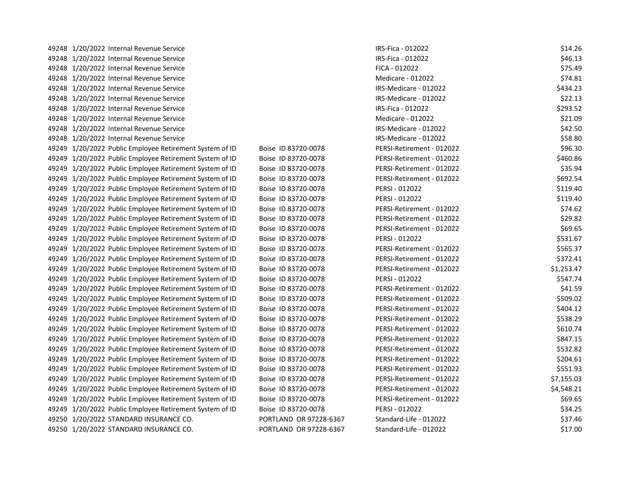| 49248 1/20/2022 Internal Revenue Service                |                        | IRS-Fica - 012022         | \$14.26    |
|---------------------------------------------------------|------------------------|---------------------------|------------|
| 49248 1/20/2022 Internal Revenue Service                |                        | IRS-Fica - 012022         | \$46.13    |
| 49248 1/20/2022 Internal Revenue Service                |                        | FICA - 012022             | \$75.49    |
| 49248 1/20/2022 Internal Revenue Service                |                        | Medicare - 012022         | \$74.81    |
| 49248 1/20/2022 Internal Revenue Service                |                        | IRS-Medicare - 012022     | \$434.23   |
| 49248 1/20/2022 Internal Revenue Service                |                        | IRS-Medicare - 012022     | \$22.13    |
| 49248 1/20/2022 Internal Revenue Service                |                        | IRS-Fica - 012022         | \$293.52   |
| 49248 1/20/2022 Internal Revenue Service                |                        | Medicare - 012022         | \$21.09    |
| 49248 1/20/2022 Internal Revenue Service                |                        | IRS-Medicare - 012022     | \$42.50    |
| 49248 1/20/2022 Internal Revenue Service                |                        | IRS-Medicare - 012022     | \$58.80    |
| 49249 1/20/2022 Public Employee Retirement System of ID | Boise ID 83720-0078    | PERSI-Retirement - 012022 | \$96.30    |
| 49249 1/20/2022 Public Employee Retirement System of ID | Boise ID 83720-0078    | PERSI-Retirement - 012022 | \$460.86   |
| 49249 1/20/2022 Public Employee Retirement System of ID | Boise ID 83720-0078    | PERSI-Retirement - 012022 | \$35.94    |
| 49249 1/20/2022 Public Employee Retirement System of ID | Boise ID 83720-0078    | PERSI-Retirement - 012022 | \$692.54   |
| 49249 1/20/2022 Public Employee Retirement System of ID | Boise ID 83720-0078    | PERSI - 012022            | \$119.40   |
| 49249 1/20/2022 Public Employee Retirement System of ID | Boise ID 83720-0078    | PERSI - 012022            | \$119.40   |
| 49249 1/20/2022 Public Employee Retirement System of ID | Boise ID 83720-0078    | PERSI-Retirement - 012022 | \$74.62    |
| 49249 1/20/2022 Public Employee Retirement System of ID | Boise ID 83720-0078    | PERSI-Retirement - 012022 | \$29.82    |
| 49249 1/20/2022 Public Employee Retirement System of ID | Boise ID 83720-0078    | PERSI-Retirement - 012022 | \$69.65    |
| 49249 1/20/2022 Public Employee Retirement System of ID | Boise ID 83720-0078    | PERSI - 012022            | \$531.67   |
| 49249 1/20/2022 Public Employee Retirement System of ID | Boise ID 83720-0078    | PERSI-Retirement - 012022 | \$565.37   |
| 49249 1/20/2022 Public Employee Retirement System of ID | Boise ID 83720-0078    | PERSI-Retirement - 012022 | \$372.41   |
| 49249 1/20/2022 Public Employee Retirement System of ID | Boise ID 83720-0078    | PERSI-Retirement - 012022 | \$1,253.47 |
| 49249 1/20/2022 Public Employee Retirement System of ID | Boise ID 83720-0078    | PERSI - 012022            | \$547.74   |
| 49249 1/20/2022 Public Employee Retirement System of ID | Boise ID 83720-0078    | PERSI-Retirement - 012022 | \$41.59    |
| 49249 1/20/2022 Public Employee Retirement System of ID | Boise ID 83720-0078    | PERSI-Retirement - 012022 | \$509.02   |
| 49249 1/20/2022 Public Employee Retirement System of ID | Boise ID 83720-0078    | PERSI-Retirement - 012022 | \$404.12   |
| 49249 1/20/2022 Public Employee Retirement System of ID | Boise ID 83720-0078    | PERSI-Retirement - 012022 | \$538.29   |
| 49249 1/20/2022 Public Employee Retirement System of ID | Boise ID 83720-0078    | PERSI-Retirement - 012022 | \$610.74   |
| 49249 1/20/2022 Public Employee Retirement System of ID | Boise ID 83720-0078    | PERSI-Retirement - 012022 | \$847.15   |
| 49249 1/20/2022 Public Employee Retirement System of ID | Boise ID 83720-0078    | PERSI-Retirement - 012022 | \$532.82   |
| 49249 1/20/2022 Public Employee Retirement System of ID | Boise ID 83720-0078    | PERSI-Retirement - 012022 | \$204.61   |
| 49249 1/20/2022 Public Employee Retirement System of ID | Boise ID 83720-0078    | PERSI-Retirement - 012022 | \$551.93   |
| 49249 1/20/2022 Public Employee Retirement System of ID | Boise ID 83720-0078    | PERSI-Retirement - 012022 | \$7,155.03 |
| 49249 1/20/2022 Public Employee Retirement System of ID | Boise ID 83720-0078    | PERSI-Retirement - 012022 | \$4,548.21 |
| 49249 1/20/2022 Public Employee Retirement System of ID | Boise ID 83720-0078    | PERSI-Retirement - 012022 | \$69.65    |
| 49249 1/20/2022 Public Employee Retirement System of ID | Boise ID 83720-0078    | PERSI - 012022            | \$34.25    |
| 49250 1/20/2022 STANDARD INSURANCE CO.                  | PORTLAND OR 97228-6367 | Standard-Life - 012022    | \$37.46    |
| 49250 1/20/2022 STANDARD INSURANCE CO.                  | PORTLAND OR 97228-6367 | Standard-Life - 012022    | \$17.00    |